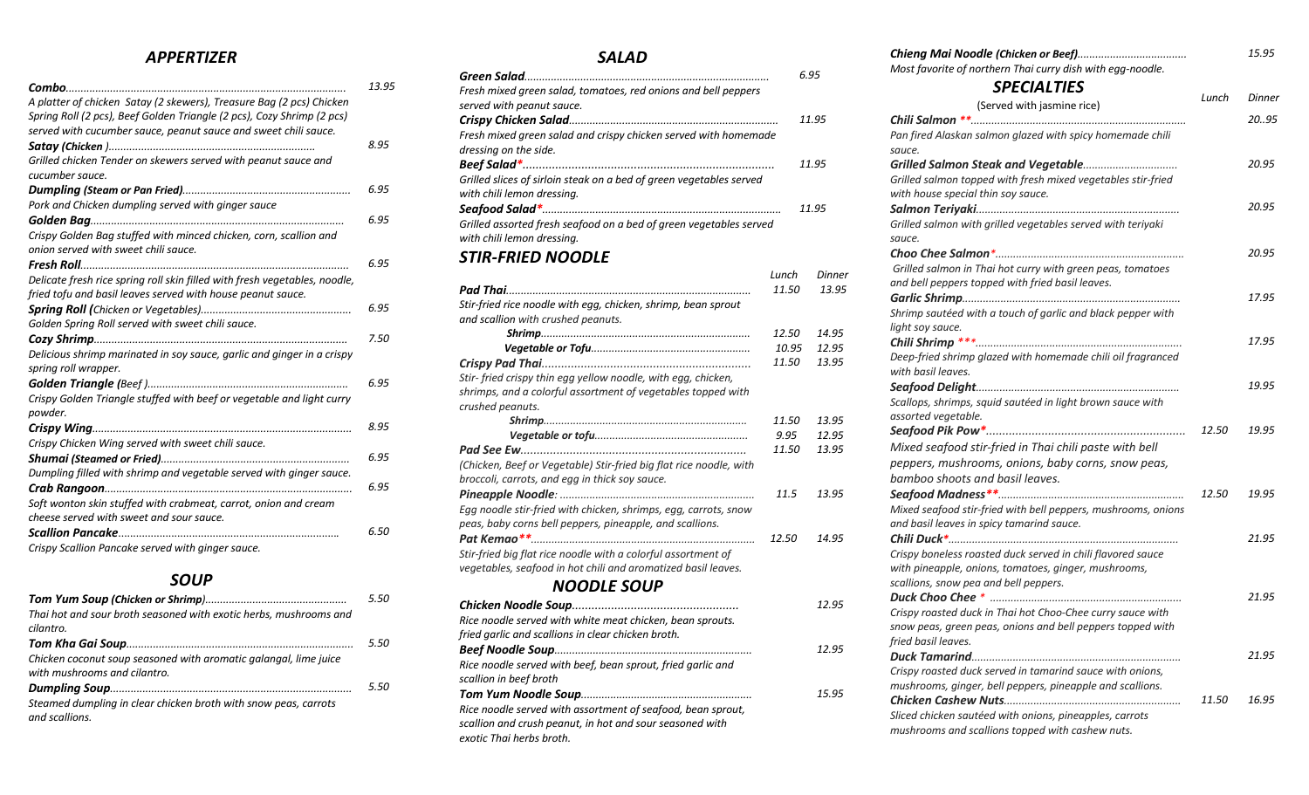#### *APPERTIZER*

|                                                                            | 13.95 |
|----------------------------------------------------------------------------|-------|
| A platter of chicken Satay (2 skewers), Treasure Bag (2 pcs) Chicken       |       |
| Spring Roll (2 pcs), Beef Golden Triangle (2 pcs), Cozy Shrimp (2 pcs)     |       |
| served with cucumber sauce, peanut sauce and sweet chili sauce.            |       |
|                                                                            | 8.95  |
| Grilled chicken Tender on skewers served with peanut sauce and             |       |
| cucumber sauce.                                                            |       |
|                                                                            | 6.95  |
| Pork and Chicken dumpling served with ginger sauce                         |       |
|                                                                            | 6.95  |
| Crispy Golden Bag stuffed with minced chicken, corn, scallion and          |       |
| onion served with sweet chili sauce.                                       |       |
|                                                                            | 6.95  |
| Delicate fresh rice spring roll skin filled with fresh vegetables, noodle, |       |
| fried tofu and basil leaves served with house peanut sauce.                |       |
|                                                                            | 6.95  |
| Golden Spring Roll served with sweet chili sauce.                          |       |
|                                                                            | 7.50  |
| Delicious shrimp marinated in soy sauce, garlic and ginger in a crispy     |       |
| spring roll wrapper.                                                       |       |
|                                                                            | 6.95  |
| Crispy Golden Triangle stuffed with beef or vegetable and light curry      |       |
| powder.                                                                    |       |
|                                                                            | 8.95  |
| Crispy Chicken Wing served with sweet chili sauce.                         |       |
|                                                                            | 6.95  |
| Dumpling filled with shrimp and vegetable served with ginger sauce.        |       |
|                                                                            | 6.95  |
| Soft wonton skin stuffed with crabmeat, carrot, onion and cream            |       |
| cheese served with sweet and sour sauce.                                   |       |
|                                                                            | 6.50  |
| Crispy Scallion Pancake served with ainger sauce.                          |       |

### *SOUP*

|                                                                   | 5.50 |
|-------------------------------------------------------------------|------|
| Thai hot and sour broth seasoned with exotic herbs, mushrooms and |      |
| cilantro.                                                         |      |
|                                                                   | 5.50 |
| Chicken coconut soup seasoned with aromatic galangal, lime juice  |      |
| with mushrooms and cilantro.                                      |      |
|                                                                   | 5.50 |
| Steamed dumpling in clear chicken broth with snow peas, carrots   |      |
| and scallions.                                                    |      |

#### *SALAD*

|                                                                                                   | 6.95  |
|---------------------------------------------------------------------------------------------------|-------|
| Fresh mixed green salad, tomatoes, red onions and bell peppers                                    |       |
| served with peanut sauce.                                                                         |       |
|                                                                                                   | 11.95 |
| Fresh mixed green salad and crispy chicken served with homemade                                   |       |
| dressing on the side.                                                                             |       |
|                                                                                                   | 11.95 |
| Grilled slices of sirloin steak on a bed of green vegetables served<br>with chili lemon dressing. |       |
|                                                                                                   | 11.95 |
| Grilled assorted fresh seafood on a bed of green vegetables served<br>with chili lemon dressing.  |       |
|                                                                                                   |       |

#### *STIR-FRIED NOODLE*

|                                                                    | Lunch | Dinner |
|--------------------------------------------------------------------|-------|--------|
| Pad Thai                                                           | 11.50 | 13.95  |
| Stir-fried rice noodle with egg, chicken, shrimp, bean sprout      |       |        |
| and scallion with crushed peanuts.                                 |       |        |
|                                                                    | 12.50 | 14.95  |
|                                                                    | 10.95 | 12.95  |
|                                                                    | 11.50 | 13.95  |
| Stir-fried crispy thin egg yellow noodle, with egg, chicken,       |       |        |
| shrimps, and a colorful assortment of vegetables topped with       |       |        |
| crushed peanuts.                                                   |       |        |
|                                                                    | 11.50 | 13.95  |
|                                                                    | 9.95  | 12.95  |
|                                                                    | 11.50 | 13.95  |
| (Chicken, Beef or Vegetable) Stir-fried big flat rice noodle, with |       |        |
| broccoli, carrots, and egg in thick soy sauce.                     |       |        |
|                                                                    | 11.5  | 13.95  |
| Egg noodle stir-fried with chicken, shrimps, egg, carrots, snow    |       |        |
| peas, baby corns bell peppers, pineapple, and scallions.           |       |        |
|                                                                    | 12.50 | 14.95  |
| Stir-fried big flat rice noodle with a colorful assortment of      |       |        |
| vegetables, seafood in hot chili and aromatized basil leaves.      |       |        |
| <b>NOODLE SOUP</b>                                                 |       |        |
|                                                                    |       | 12.95  |
| Rice noodle served with white meat chicken, bean sprouts.          |       |        |
| fried garlic and scallions in clear chicken broth.                 |       |        |
|                                                                    |       | 12.95  |
| Rice noodle served with beef, bean sprout, fried garlic and        |       |        |
| scallion in beef broth                                             |       |        |
|                                                                    |       | 15.95  |
| Rice noodle served with assortment of seafood, bean sprout,        |       |        |
| scallion and crush peanut, in hot and sour seasoned with           |       |        |
| exotic Thai herbs broth.                                           |       |        |

|                                                            | 15.95 |
|------------------------------------------------------------|-------|
| Most favorite of northern Thai curry dish with egg-noodle. |       |
| CDCC1A1T1C                                                 |       |

#### *SPECIALTIES* (Served with jasmine rice) *Lunch Dinner Chili Salmon \*\*......................................................................... Pan fired Alaskan salmon glazed with spicy homemade chili sauce. 20..95 Grilled Salmon Steak and Vegetable................................ Grilled salmon topped with fresh mixed vegetables stir-fried with house special thin soy sauce. Salmon Teriyaki..................................................................... Grilled salmon with grilled vegetables served with teriyaki sauce. 20.95 20.95 Choo Chee Salmon\*................................................................ Grilled salmon in Thai hot curry with green peas, tomatoes and bell peppers topped with fried basil leaves. 20.95 Garlic Shrimp.......................................................................... Shrimp sautéed with a touch of garlic and black pepper with light soy sauce. 17.95 Chili Shrimp \*\*\*...................................................................... Deep-fried shrimp glazed with homemade chili oil fragranced with basil leaves. 17.95 Seafood Delight..................................................................... Scallops, shrimps, squid sautéed in light brown sauce with assorted vegetable. 19.95 Seafood Pik Pow\*............................................................. 12.50 19.95 Mixed seafood stir-fried in Thai chili paste with bell peppers, mushrooms, onions, baby corns, snow peas, bamboo shoots and basil leaves. Seafood Madness\*\*............................................................... Mixed seafood stir-fried with bell peppers, mushrooms, onions and basil leaves in spicy tamarind sauce. 12.50 19.95 Chili Duck\*.............................................................................. Crispy boneless roasted duck served in chili flavored sauce with pineapple, onions, tomatoes, ginger, mushrooms, scallions, snow pea and bell peppers. 21.95 Duck Choo Chee \* ................................................................. Crispy roasted duck in Thai hot Choo-Chee curry sauce with snow peas, green peas, onions and bell peppers topped with fried basil leaves. 21.95 Duck Tamarind....................................................................... Crispy roasted duck served in tamarind sauce with onions, mushrooms, ginger, bell peppers, pineapple and scallions. 21.95 Chicken Cashew Nuts............................................................ Sliced chicken sautéed with onions, pineapples, carrots mushrooms and scallions topped with cashew nuts. 11.50 16.95*